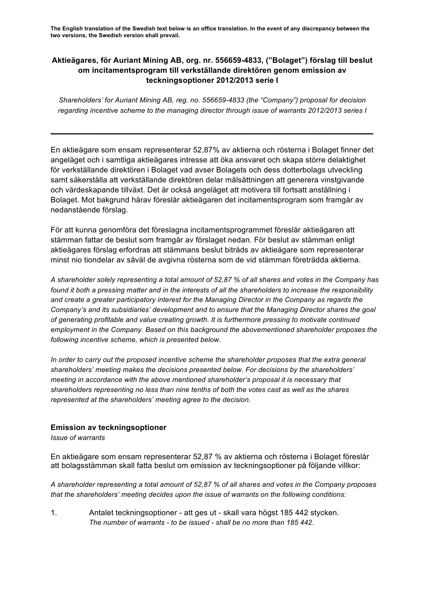**The English translation of the Swedish text below is an office translation. In the event of any discrepancy between the two versions, the Swedish version shall prevail.**

## **Aktieägares, för Auriant Mining AB, org. nr. 556659-4833, ("Bolaget") förslag till beslut om incitamentsprogram till verkställande direktören genom emission av teckningsoptioner 2012/2013 serie I**

*Shareholders' for Auriant Mining AB, reg. no. 556659-4833 (the "Company") proposal for decision regarding incentive scheme to the managing director through issue of warrants 2012/2013 series I*

**\_\_\_\_\_\_\_\_\_\_\_\_\_\_\_\_\_\_\_\_\_\_\_\_\_\_\_\_\_\_\_\_\_\_\_\_\_\_\_\_\_\_\_\_\_\_\_\_\_\_\_\_\_\_\_\_\_\_\_\_\_\_\_\_\_\_\_\_\_\_\_\_\_\_**

En aktieägare som ensam representerar 52,87% av aktierna och rösterna i Bolaget finner det angeläget och i samtliga aktieägares intresse att öka ansvaret och skapa större delaktighet för verkställande direktören i Bolaget vad avser Bolagets och dess dotterbolags utveckling samt säkerställa att verkställande direktören delar målsättningen att generera vinstgivande och värdeskapande tillväxt. Det är också angeläget att motivera till fortsatt anställning i Bolaget. Mot bakgrund härav föreslår aktieägaren det incitamentsprogram som framgår av nedanstående förslag.

För att kunna genomföra det föreslagna incitamentsprogrammet föreslår aktieägaren att stämman fattar de beslut som framgår av förslaget nedan. För beslut av stämman enligt aktieägares förslag erfordras att stämmans beslut biträds av aktieägare som representerar minst nio tiondelar av såväl de avgivna rösterna som de vid stämman företrädda aktierna.

*A shareholder solely representing a total amount of 52,87 % of all shares and votes in the Company has found it both a pressing matter and in the interests of all the shareholders to increase the responsibility and create a greater participatory interest for the Managing Director in the Company as regards the Company's and its subsidiaries' development and to ensure that the Managing Director shares the goal of generating profitable and value creating growth. It is furthermore pressing to motivate continued employment in the Company. Based on this background the abovementioned shareholder proposes the following incentive scheme, which is presented below.*

*In order to carry out the proposed incentive scheme the shareholder proposes that the extra general shareholders' meeting makes the decisions presented below. For decisions by the shareholders' meeting in accordance with the above mentioned shareholder's proposal it is necessary that shareholders representing no less than nine tenths of both the votes cast as well as the shares represented at the shareholders' meeting agree to the decision.*

## **Emission av teckningsoptioner**

*Issue of warrants* 

En aktieägare som ensam representerar 52,87 % av aktierna och rösterna i Bolaget föreslår att bolagsstämman skall fatta beslut om emission av teckningsoptioner på följande villkor:

*A shareholder representing a total amount of 52,87 % of all shares and votes in the Company proposes that the shareholders' meeting decides upon the issue of warrants on the following conditions:*

1. Antalet teckningsoptioner - att ges ut - skall vara högst 185 442 stycken. *The number of warrants - to be issued - shall be no more than 185 442.*